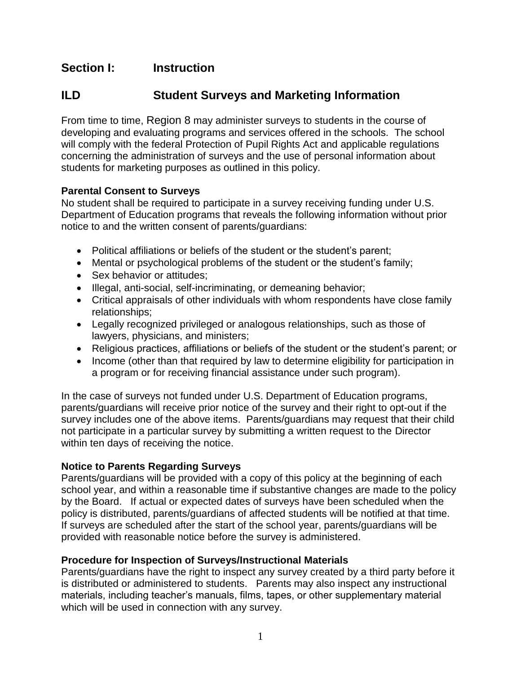# **Section I: Instruction**

## **ILD Student Surveys and Marketing Information**

From time to time, Region 8 may administer surveys to students in the course of developing and evaluating programs and services offered in the schools. The school will comply with the federal Protection of Pupil Rights Act and applicable regulations concerning the administration of surveys and the use of personal information about students for marketing purposes as outlined in this policy.

### **Parental Consent to Surveys**

No student shall be required to participate in a survey receiving funding under U.S. Department of Education programs that reveals the following information without prior notice to and the written consent of parents/guardians:

- Political affiliations or beliefs of the student or the student's parent;
- Mental or psychological problems of the student or the student's family;
- Sex behavior or attitudes;
- Illegal, anti-social, self-incriminating, or demeaning behavior;
- Critical appraisals of other individuals with whom respondents have close family relationships;
- Legally recognized privileged or analogous relationships, such as those of lawyers, physicians, and ministers;
- Religious practices, affiliations or beliefs of the student or the student's parent; or
- Income (other than that required by law to determine eligibility for participation in a program or for receiving financial assistance under such program).

In the case of surveys not funded under U.S. Department of Education programs, parents/guardians will receive prior notice of the survey and their right to opt-out if the survey includes one of the above items. Parents/guardians may request that their child not participate in a particular survey by submitting a written request to the Director within ten days of receiving the notice.

### **Notice to Parents Regarding Surveys**

Parents/guardians will be provided with a copy of this policy at the beginning of each school year, and within a reasonable time if substantive changes are made to the policy by the Board. If actual or expected dates of surveys have been scheduled when the policy is distributed, parents/guardians of affected students will be notified at that time. If surveys are scheduled after the start of the school year, parents/guardians will be provided with reasonable notice before the survey is administered.

### **Procedure for Inspection of Surveys/Instructional Materials**

Parents/guardians have the right to inspect any survey created by a third party before it is distributed or administered to students. Parents may also inspect any instructional materials, including teacher's manuals, films, tapes, or other supplementary material which will be used in connection with any survey.